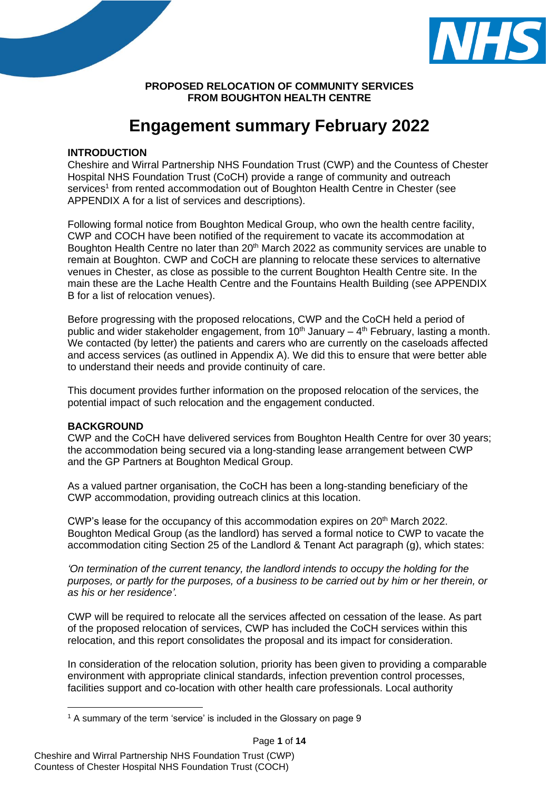

## **PROPOSED RELOCATION OF COMMUNITY SERVICES FROM BOUGHTON HEALTH CENTRE**

# **Engagement summary February 2022**

#### **INTRODUCTION**

Cheshire and Wirral Partnership NHS Foundation Trust (CWP) and the Countess of Chester Hospital NHS Foundation Trust (CoCH) provide a range of community and outreach services<sup>1</sup> from rented accommodation out of Boughton Health Centre in Chester (see APPENDIX A for a list of services and descriptions).

Following formal notice from Boughton Medical Group, who own the health centre facility, CWP and COCH have been notified of the requirement to vacate its accommodation at Boughton Health Centre no later than 20<sup>th</sup> March 2022 as community services are unable to remain at Boughton. CWP and CoCH are planning to relocate these services to alternative venues in Chester, as close as possible to the current Boughton Health Centre site. In the main these are the Lache Health Centre and the Fountains Health Building (see APPENDIX B for a list of relocation venues).

Before progressing with the proposed relocations, CWP and the CoCH held a period of public and wider stakeholder engagement, from  $10<sup>th</sup>$  January –  $4<sup>th</sup>$  February, lasting a month. We contacted (by letter) the patients and carers who are currently on the caseloads affected and access services (as outlined in Appendix A). We did this to ensure that were better able to understand their needs and provide continuity of care.

This document provides further information on the proposed relocation of the services, the potential impact of such relocation and the engagement conducted.

#### **BACKGROUND**

CWP and the CoCH have delivered services from Boughton Health Centre for over 30 years; the accommodation being secured via a long-standing lease arrangement between CWP and the GP Partners at Boughton Medical Group.

As a valued partner organisation, the CoCH has been a long-standing beneficiary of the CWP accommodation, providing outreach clinics at this location.

CWP's lease for the occupancy of this accommodation expires on  $20<sup>th</sup>$  March 2022. Boughton Medical Group (as the landlord) has served a formal notice to CWP to vacate the accommodation citing Section 25 of the Landlord & Tenant Act paragraph (g), which states:

*'On termination of the current tenancy, the landlord intends to occupy the holding for the purposes, or partly for the purposes, of a business to be carried out by him or her therein, or as his or her residence'.*

CWP will be required to relocate all the services affected on cessation of the lease. As part of the proposed relocation of services, CWP has included the CoCH services within this relocation, and this report consolidates the proposal and its impact for consideration.

In consideration of the relocation solution, priority has been given to providing a comparable environment with appropriate clinical standards, infection prevention control processes, facilities support and co-location with other health care professionals. Local authority

<sup>1</sup> A summary of the term 'service' is included in the Glossary on page 9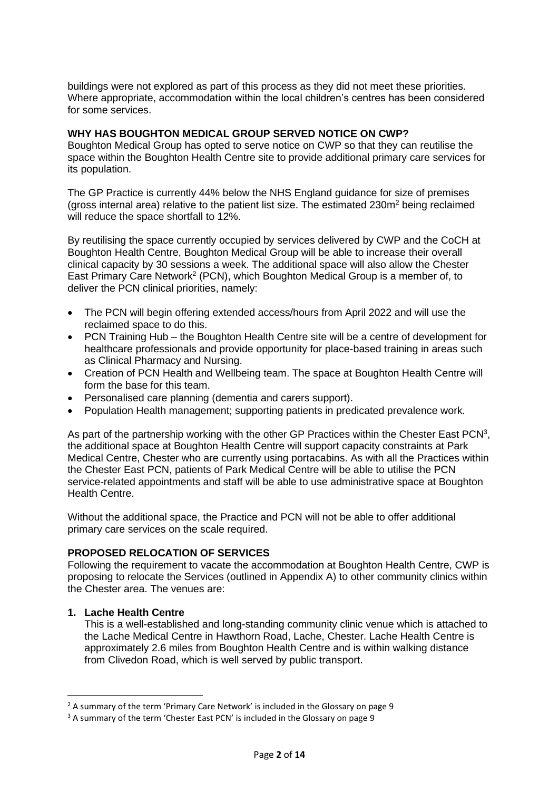buildings were not explored as part of this process as they did not meet these priorities. Where appropriate, accommodation within the local children's centres has been considered for some services.

#### **WHY HAS BOUGHTON MEDICAL GROUP SERVED NOTICE ON CWP?**

Boughton Medical Group has opted to serve notice on CWP so that they can reutilise the space within the Boughton Health Centre site to provide additional primary care services for its population.

The GP Practice is currently 44% below the NHS England guidance for size of premises (gross internal area) relative to the patient list size. The estimated  $230m^2$  being reclaimed will reduce the space shortfall to 12%.

By reutilising the space currently occupied by services delivered by CWP and the CoCH at Boughton Health Centre, Boughton Medical Group will be able to increase their overall clinical capacity by 30 sessions a week. The additional space will also allow the Chester East Primary Care Network<sup>2</sup> (PCN), which Boughton Medical Group is a member of, to deliver the PCN clinical priorities, namely:

- The PCN will begin offering extended access/hours from April 2022 and will use the reclaimed space to do this.
- PCN Training Hub the Boughton Health Centre site will be a centre of development for healthcare professionals and provide opportunity for place-based training in areas such as Clinical Pharmacy and Nursing.
- Creation of PCN Health and Wellbeing team. The space at Boughton Health Centre will form the base for this team.
- Personalised care planning (dementia and carers support).
- Population Health management; supporting patients in predicated prevalence work.

As part of the partnership working with the other GP Practices within the Chester East PCN<sup>3</sup>, the additional space at Boughton Health Centre will support capacity constraints at Park Medical Centre, Chester who are currently using portacabins. As with all the Practices within the Chester East PCN, patients of Park Medical Centre will be able to utilise the PCN service-related appointments and staff will be able to use administrative space at Boughton Health Centre.

Without the additional space, the Practice and PCN will not be able to offer additional primary care services on the scale required.

## **PROPOSED RELOCATION OF SERVICES**

Following the requirement to vacate the accommodation at Boughton Health Centre, CWP is proposing to relocate the Services (outlined in Appendix A) to other community clinics within the Chester area. The venues are:

#### **1. Lache Health Centre**

This is a well-established and long-standing community clinic venue which is attached to the Lache Medical Centre in Hawthorn Road, Lache, Chester. Lache Health Centre is approximately 2.6 miles from Boughton Health Centre and is within walking distance from Clivedon Road, which is well served by public transport.

 $<sup>2</sup>$  A summary of the term 'Primary Care Network' is included in the Glossary on page 9</sup>

<sup>&</sup>lt;sup>3</sup> A summary of the term 'Chester East PCN' is included in the Glossary on page 9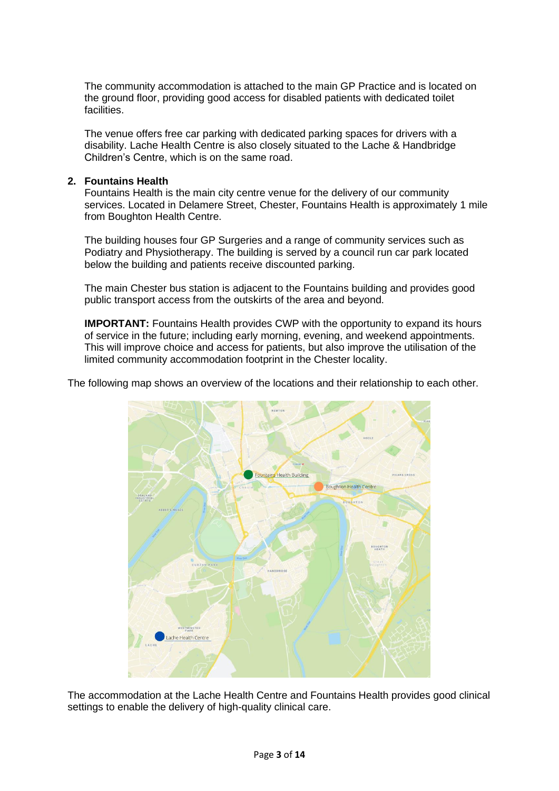The community accommodation is attached to the main GP Practice and is located on the ground floor, providing good access for disabled patients with dedicated toilet facilities.

The venue offers free car parking with dedicated parking spaces for drivers with a disability. Lache Health Centre is also closely situated to the Lache & Handbridge Children's Centre, which is on the same road.

#### **2. Fountains Health**

Fountains Health is the main city centre venue for the delivery of our community services. Located in Delamere Street, Chester, Fountains Health is approximately 1 mile from Boughton Health Centre.

The building houses four GP Surgeries and a range of community services such as Podiatry and Physiotherapy. The building is served by a council run car park located below the building and patients receive discounted parking.

The main Chester bus station is adjacent to the Fountains building and provides good public transport access from the outskirts of the area and beyond.

**IMPORTANT:** Fountains Health provides CWP with the opportunity to expand its hours of service in the future; including early morning, evening, and weekend appointments. This will improve choice and access for patients, but also improve the utilisation of the limited community accommodation footprint in the Chester locality.

The following map shows an overview of the locations and their relationship to each other.



The accommodation at the Lache Health Centre and Fountains Health provides good clinical settings to enable the delivery of high-quality clinical care.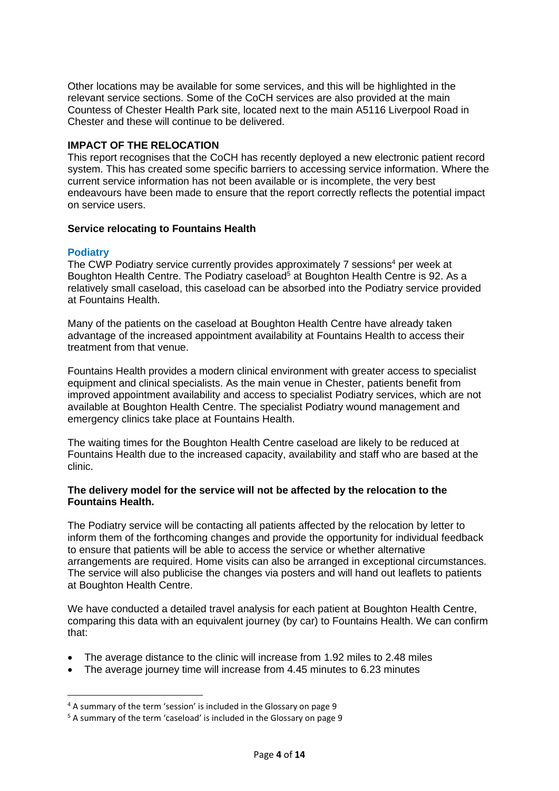Other locations may be available for some services, and this will be highlighted in the relevant service sections. Some of the CoCH services are also provided at the main Countess of Chester Health Park site, located next to the main A5116 Liverpool Road in Chester and these will continue to be delivered.

### **IMPACT OF THE RELOCATION**

This report recognises that the CoCH has recently deployed a new electronic patient record system. This has created some specific barriers to accessing service information. Where the current service information has not been available or is incomplete, the very best endeavours have been made to ensure that the report correctly reflects the potential impact on service users.

#### **Service relocating to Fountains Health**

#### **Podiatry**

The CWP Podiatry service currently provides approximately 7 sessions<sup>4</sup> per week at Boughton Health Centre. The Podiatry caseload<sup>5</sup> at Boughton Health Centre is 92. As a relatively small caseload, this caseload can be absorbed into the Podiatry service provided at Fountains Health.

Many of the patients on the caseload at Boughton Health Centre have already taken advantage of the increased appointment availability at Fountains Health to access their treatment from that venue.

Fountains Health provides a modern clinical environment with greater access to specialist equipment and clinical specialists. As the main venue in Chester, patients benefit from improved appointment availability and access to specialist Podiatry services, which are not available at Boughton Health Centre. The specialist Podiatry wound management and emergency clinics take place at Fountains Health.

The waiting times for the Boughton Health Centre caseload are likely to be reduced at Fountains Health due to the increased capacity, availability and staff who are based at the clinic.

#### **The delivery model for the service will not be affected by the relocation to the Fountains Health.**

The Podiatry service will be contacting all patients affected by the relocation by letter to inform them of the forthcoming changes and provide the opportunity for individual feedback to ensure that patients will be able to access the service or whether alternative arrangements are required. Home visits can also be arranged in exceptional circumstances. The service will also publicise the changes via posters and will hand out leaflets to patients at Boughton Health Centre.

We have conducted a detailed travel analysis for each patient at Boughton Health Centre, comparing this data with an equivalent journey (by car) to Fountains Health. We can confirm that:

- The average distance to the clinic will increase from 1.92 miles to 2.48 miles
- The average journey time will increase from 4.45 minutes to 6.23 minutes

<sup>&</sup>lt;sup>4</sup> A summary of the term 'session' is included in the Glossary on page 9

<sup>5</sup> A summary of the term 'caseload' is included in the Glossary on page 9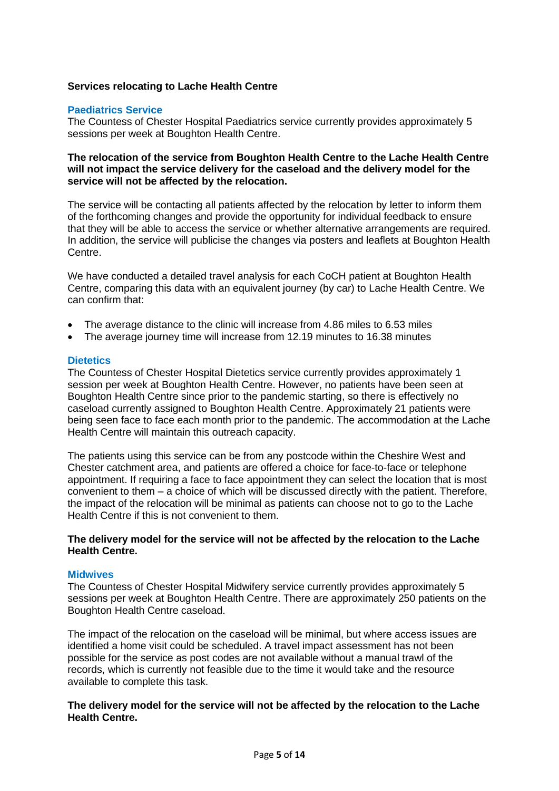## **Services relocating to Lache Health Centre**

## **Paediatrics Service**

The Countess of Chester Hospital Paediatrics service currently provides approximately 5 sessions per week at Boughton Health Centre.

#### **The relocation of the service from Boughton Health Centre to the Lache Health Centre will not impact the service delivery for the caseload and the delivery model for the service will not be affected by the relocation.**

The service will be contacting all patients affected by the relocation by letter to inform them of the forthcoming changes and provide the opportunity for individual feedback to ensure that they will be able to access the service or whether alternative arrangements are required. In addition, the service will publicise the changes via posters and leaflets at Boughton Health Centre.

We have conducted a detailed travel analysis for each CoCH patient at Boughton Health Centre, comparing this data with an equivalent journey (by car) to Lache Health Centre. We can confirm that:

- The average distance to the clinic will increase from 4.86 miles to 6.53 miles
- The average journey time will increase from 12.19 minutes to 16.38 minutes

#### **Dietetics**

The Countess of Chester Hospital Dietetics service currently provides approximately 1 session per week at Boughton Health Centre. However, no patients have been seen at Boughton Health Centre since prior to the pandemic starting, so there is effectively no caseload currently assigned to Boughton Health Centre. Approximately 21 patients were being seen face to face each month prior to the pandemic. The accommodation at the Lache Health Centre will maintain this outreach capacity.

The patients using this service can be from any postcode within the Cheshire West and Chester catchment area, and patients are offered a choice for face-to-face or telephone appointment. If requiring a face to face appointment they can select the location that is most convenient to them – a choice of which will be discussed directly with the patient. Therefore, the impact of the relocation will be minimal as patients can choose not to go to the Lache Health Centre if this is not convenient to them.

#### **The delivery model for the service will not be affected by the relocation to the Lache Health Centre.**

#### **Midwives**

The Countess of Chester Hospital Midwifery service currently provides approximately 5 sessions per week at Boughton Health Centre. There are approximately 250 patients on the Boughton Health Centre caseload.

The impact of the relocation on the caseload will be minimal, but where access issues are identified a home visit could be scheduled. A travel impact assessment has not been possible for the service as post codes are not available without a manual trawl of the records, which is currently not feasible due to the time it would take and the resource available to complete this task.

#### **The delivery model for the service will not be affected by the relocation to the Lache Health Centre.**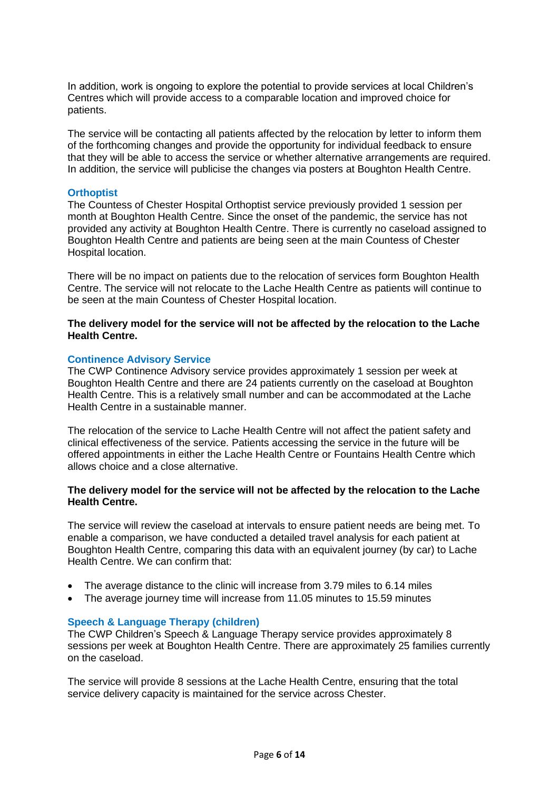In addition, work is ongoing to explore the potential to provide services at local Children's Centres which will provide access to a comparable location and improved choice for patients.

The service will be contacting all patients affected by the relocation by letter to inform them of the forthcoming changes and provide the opportunity for individual feedback to ensure that they will be able to access the service or whether alternative arrangements are required. In addition, the service will publicise the changes via posters at Boughton Health Centre.

#### **Orthoptist**

The Countess of Chester Hospital Orthoptist service previously provided 1 session per month at Boughton Health Centre. Since the onset of the pandemic, the service has not provided any activity at Boughton Health Centre. There is currently no caseload assigned to Boughton Health Centre and patients are being seen at the main Countess of Chester Hospital location.

There will be no impact on patients due to the relocation of services form Boughton Health Centre. The service will not relocate to the Lache Health Centre as patients will continue to be seen at the main Countess of Chester Hospital location.

#### **The delivery model for the service will not be affected by the relocation to the Lache Health Centre.**

#### **Continence Advisory Service**

The CWP Continence Advisory service provides approximately 1 session per week at Boughton Health Centre and there are 24 patients currently on the caseload at Boughton Health Centre. This is a relatively small number and can be accommodated at the Lache Health Centre in a sustainable manner.

The relocation of the service to Lache Health Centre will not affect the patient safety and clinical effectiveness of the service. Patients accessing the service in the future will be offered appointments in either the Lache Health Centre or Fountains Health Centre which allows choice and a close alternative.

#### **The delivery model for the service will not be affected by the relocation to the Lache Health Centre.**

The service will review the caseload at intervals to ensure patient needs are being met. To enable a comparison, we have conducted a detailed travel analysis for each patient at Boughton Health Centre, comparing this data with an equivalent journey (by car) to Lache Health Centre. We can confirm that:

- The average distance to the clinic will increase from 3.79 miles to 6.14 miles
- The average journey time will increase from 11.05 minutes to 15.59 minutes

## **Speech & Language Therapy (children)**

The CWP Children's Speech & Language Therapy service provides approximately 8 sessions per week at Boughton Health Centre. There are approximately 25 families currently on the caseload.

The service will provide 8 sessions at the Lache Health Centre, ensuring that the total service delivery capacity is maintained for the service across Chester.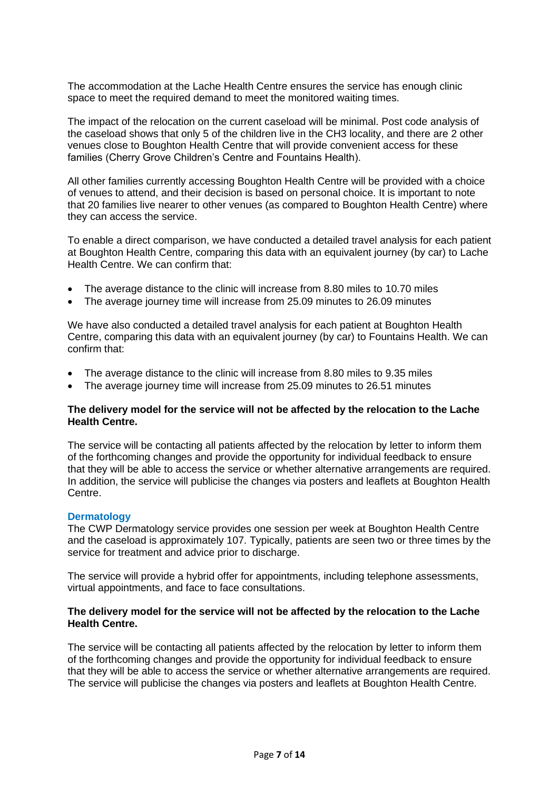The accommodation at the Lache Health Centre ensures the service has enough clinic space to meet the required demand to meet the monitored waiting times.

The impact of the relocation on the current caseload will be minimal. Post code analysis of the caseload shows that only 5 of the children live in the CH3 locality, and there are 2 other venues close to Boughton Health Centre that will provide convenient access for these families (Cherry Grove Children's Centre and Fountains Health).

All other families currently accessing Boughton Health Centre will be provided with a choice of venues to attend, and their decision is based on personal choice. It is important to note that 20 families live nearer to other venues (as compared to Boughton Health Centre) where they can access the service.

To enable a direct comparison, we have conducted a detailed travel analysis for each patient at Boughton Health Centre, comparing this data with an equivalent journey (by car) to Lache Health Centre. We can confirm that:

- The average distance to the clinic will increase from 8.80 miles to 10.70 miles
- The average journey time will increase from 25.09 minutes to 26.09 minutes

We have also conducted a detailed travel analysis for each patient at Boughton Health Centre, comparing this data with an equivalent journey (by car) to Fountains Health. We can confirm that:

- The average distance to the clinic will increase from 8.80 miles to 9.35 miles
- The average journey time will increase from 25.09 minutes to 26.51 minutes

#### **The delivery model for the service will not be affected by the relocation to the Lache Health Centre.**

The service will be contacting all patients affected by the relocation by letter to inform them of the forthcoming changes and provide the opportunity for individual feedback to ensure that they will be able to access the service or whether alternative arrangements are required. In addition, the service will publicise the changes via posters and leaflets at Boughton Health Centre.

#### **Dermatology**

The CWP Dermatology service provides one session per week at Boughton Health Centre and the caseload is approximately 107. Typically, patients are seen two or three times by the service for treatment and advice prior to discharge.

The service will provide a hybrid offer for appointments, including telephone assessments, virtual appointments, and face to face consultations.

#### **The delivery model for the service will not be affected by the relocation to the Lache Health Centre.**

The service will be contacting all patients affected by the relocation by letter to inform them of the forthcoming changes and provide the opportunity for individual feedback to ensure that they will be able to access the service or whether alternative arrangements are required. The service will publicise the changes via posters and leaflets at Boughton Health Centre.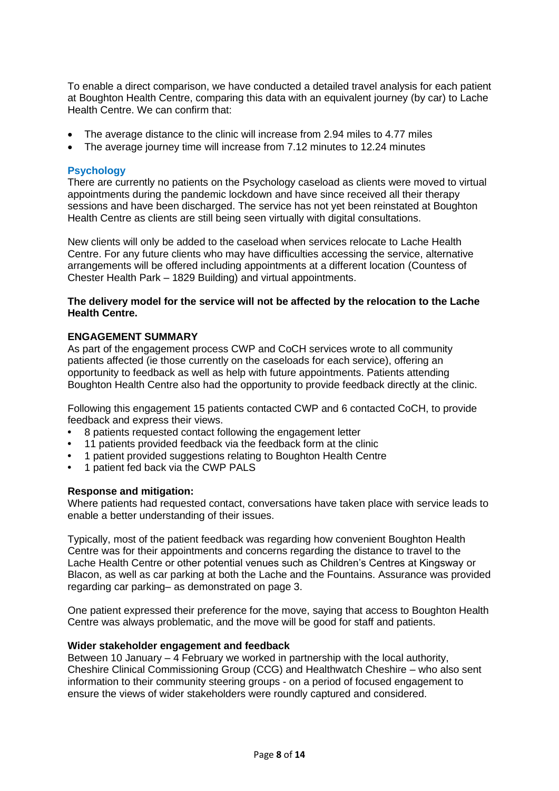To enable a direct comparison, we have conducted a detailed travel analysis for each patient at Boughton Health Centre, comparing this data with an equivalent journey (by car) to Lache Health Centre. We can confirm that:

- The average distance to the clinic will increase from 2.94 miles to 4.77 miles
- The average journey time will increase from 7.12 minutes to 12.24 minutes

#### **Psychology**

There are currently no patients on the Psychology caseload as clients were moved to virtual appointments during the pandemic lockdown and have since received all their therapy sessions and have been discharged. The service has not yet been reinstated at Boughton Health Centre as clients are still being seen virtually with digital consultations.

New clients will only be added to the caseload when services relocate to Lache Health Centre. For any future clients who may have difficulties accessing the service, alternative arrangements will be offered including appointments at a different location (Countess of Chester Health Park – 1829 Building) and virtual appointments.

#### **The delivery model for the service will not be affected by the relocation to the Lache Health Centre.**

#### **ENGAGEMENT SUMMARY**

As part of the engagement process CWP and CoCH services wrote to all community patients affected (ie those currently on the caseloads for each service), offering an opportunity to feedback as well as help with future appointments. Patients attending Boughton Health Centre also had the opportunity to provide feedback directly at the clinic.

Following this engagement 15 patients contacted CWP and 6 contacted CoCH, to provide feedback and express their views.

- **•** 8 patients requested contact following the engagement letter
- **•** 11 patients provided feedback via the feedback form at the clinic
- **•** 1 patient provided suggestions relating to Boughton Health Centre
- **•** 1 patient fed back via the CWP PALS

#### **Response and mitigation:**

Where patients had requested contact, conversations have taken place with service leads to enable a better understanding of their issues.

Typically, most of the patient feedback was regarding how convenient Boughton Health Centre was for their appointments and concerns regarding the distance to travel to the Lache Health Centre or other potential venues such as Children's Centres at Kingsway or Blacon, as well as car parking at both the Lache and the Fountains. Assurance was provided regarding car parking– as demonstrated on page 3.

One patient expressed their preference for the move, saying that access to Boughton Health Centre was always problematic, and the move will be good for staff and patients.

#### **Wider stakeholder engagement and feedback**

Between 10 January – 4 February we worked in partnership with the local authority, Cheshire Clinical Commissioning Group (CCG) and Healthwatch Cheshire – who also sent information to their community steering groups - on a period of focused engagement to ensure the views of wider stakeholders were roundly captured and considered.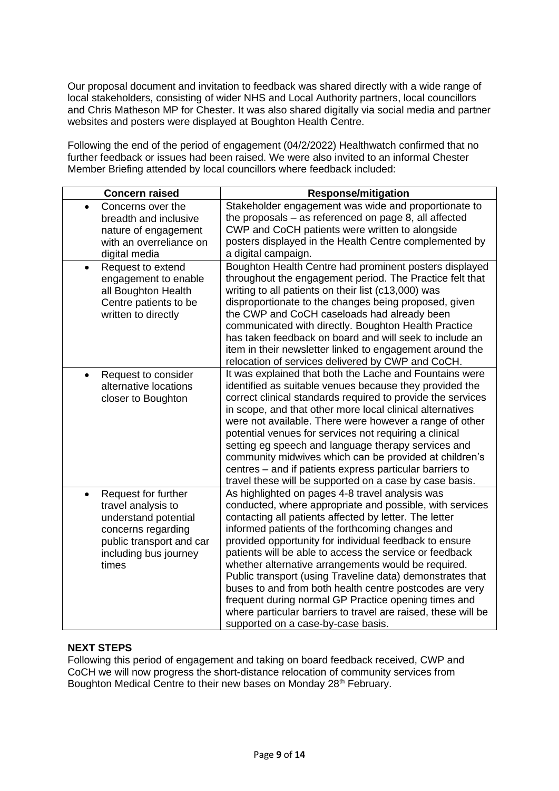Our proposal document and invitation to feedback was shared directly with a wide range of local stakeholders, consisting of wider NHS and Local Authority partners, local councillors and Chris Matheson MP for Chester. It was also shared digitally via social media and partner websites and posters were displayed at Boughton Health Centre.

Following the end of the period of engagement (04/2/2022) Healthwatch confirmed that no further feedback or issues had been raised. We were also invited to an informal Chester Member Briefing attended by local councillors where feedback included:

| <b>Concern raised</b>                                                                                                                                              | <b>Response/mitigation</b>                                                                                                                                                                                                                                                                                                                                                                                                                                                                                                                                                                                                                                                                   |
|--------------------------------------------------------------------------------------------------------------------------------------------------------------------|----------------------------------------------------------------------------------------------------------------------------------------------------------------------------------------------------------------------------------------------------------------------------------------------------------------------------------------------------------------------------------------------------------------------------------------------------------------------------------------------------------------------------------------------------------------------------------------------------------------------------------------------------------------------------------------------|
| Concerns over the<br>$\bullet$<br>breadth and inclusive<br>nature of engagement<br>with an overreliance on<br>digital media                                        | Stakeholder engagement was wide and proportionate to<br>the proposals $-$ as referenced on page 8, all affected<br>CWP and CoCH patients were written to alongside<br>posters displayed in the Health Centre complemented by<br>a digital campaign.                                                                                                                                                                                                                                                                                                                                                                                                                                          |
| Request to extend<br>$\bullet$<br>engagement to enable<br>all Boughton Health<br>Centre patients to be<br>written to directly                                      | Boughton Health Centre had prominent posters displayed<br>throughout the engagement period. The Practice felt that<br>writing to all patients on their list (c13,000) was<br>disproportionate to the changes being proposed, given<br>the CWP and CoCH caseloads had already been<br>communicated with directly. Boughton Health Practice<br>has taken feedback on board and will seek to include an<br>item in their newsletter linked to engagement around the<br>relocation of services delivered by CWP and CoCH.                                                                                                                                                                        |
| Request to consider<br>$\bullet$<br>alternative locations<br>closer to Boughton                                                                                    | It was explained that both the Lache and Fountains were<br>identified as suitable venues because they provided the<br>correct clinical standards required to provide the services<br>in scope, and that other more local clinical alternatives<br>were not available. There were however a range of other<br>potential venues for services not requiring a clinical<br>setting eg speech and language therapy services and<br>community midwives which can be provided at children's<br>centres – and if patients express particular barriers to<br>travel these will be supported on a case by case basis.                                                                                  |
| Request for further<br>$\bullet$<br>travel analysis to<br>understand potential<br>concerns regarding<br>public transport and car<br>including bus journey<br>times | As highlighted on pages 4-8 travel analysis was<br>conducted, where appropriate and possible, with services<br>contacting all patients affected by letter. The letter<br>informed patients of the forthcoming changes and<br>provided opportunity for individual feedback to ensure<br>patients will be able to access the service or feedback<br>whether alternative arrangements would be required.<br>Public transport (using Traveline data) demonstrates that<br>buses to and from both health centre postcodes are very<br>frequent during normal GP Practice opening times and<br>where particular barriers to travel are raised, these will be<br>supported on a case-by-case basis. |

## **NEXT STEPS**

Following this period of engagement and taking on board feedback received, CWP and CoCH we will now progress the short-distance relocation of community services from Boughton Medical Centre to their new bases on Monday 28<sup>th</sup> February.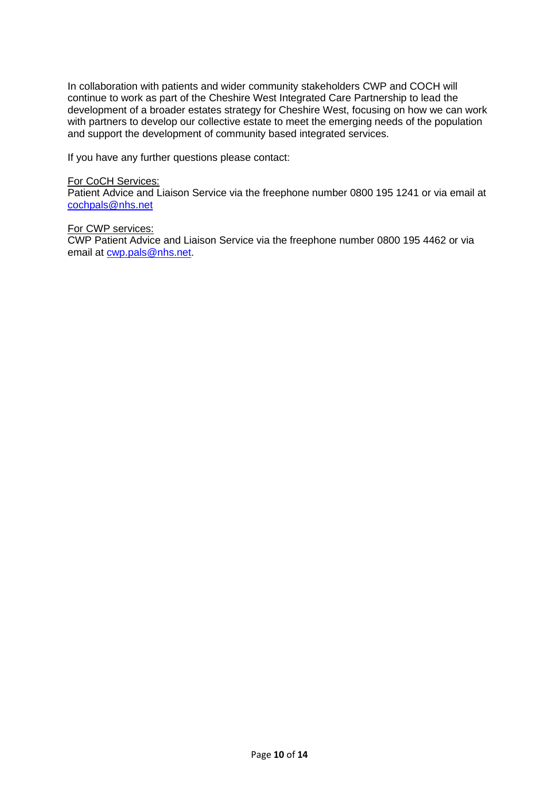In collaboration with patients and wider community stakeholders CWP and COCH will continue to work as part of the Cheshire West Integrated Care Partnership to lead the development of a broader estates strategy for Cheshire West, focusing on how we can work with partners to develop our collective estate to meet the emerging needs of the population and support the development of community based integrated services.

If you have any further questions please contact:

#### For CoCH Services:

Patient Advice and Liaison Service via the freephone number 0800 195 1241 or via email at [cochpals@nhs.net](mailto:cochpals@nhs.net)

#### For CWP services:

CWP Patient Advice and Liaison Service via the freephone number 0800 195 4462 or via email at [cwp.pals@nhs.net.](mailto:cwp.pals@nhs.net)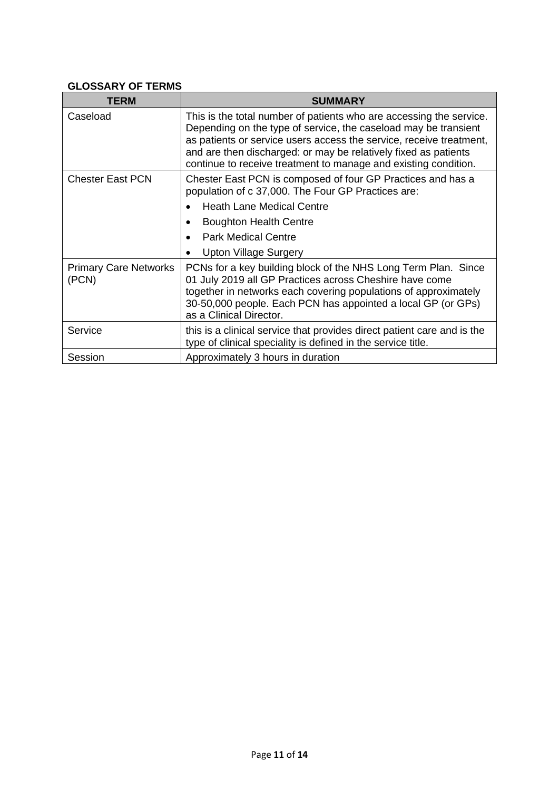## **GLOSSARY OF TERMS**

| TERM                                  | <b>SUMMARY</b>                                                                                                                                                                                                                                                                                                                                      |  |
|---------------------------------------|-----------------------------------------------------------------------------------------------------------------------------------------------------------------------------------------------------------------------------------------------------------------------------------------------------------------------------------------------------|--|
| Caseload                              | This is the total number of patients who are accessing the service.<br>Depending on the type of service, the caseload may be transient<br>as patients or service users access the service, receive treatment,<br>and are then discharged: or may be relatively fixed as patients<br>continue to receive treatment to manage and existing condition. |  |
| <b>Chester East PCN</b>               | Chester East PCN is composed of four GP Practices and has a<br>population of c 37,000. The Four GP Practices are:                                                                                                                                                                                                                                   |  |
|                                       | <b>Heath Lane Medical Centre</b><br>$\bullet$                                                                                                                                                                                                                                                                                                       |  |
|                                       | <b>Boughton Health Centre</b>                                                                                                                                                                                                                                                                                                                       |  |
|                                       | <b>Park Medical Centre</b><br>$\bullet$                                                                                                                                                                                                                                                                                                             |  |
|                                       | <b>Upton Village Surgery</b>                                                                                                                                                                                                                                                                                                                        |  |
| <b>Primary Care Networks</b><br>(PCN) | PCNs for a key building block of the NHS Long Term Plan. Since<br>01 July 2019 all GP Practices across Cheshire have come<br>together in networks each covering populations of approximately<br>30-50,000 people. Each PCN has appointed a local GP (or GPs)<br>as a Clinical Director.                                                             |  |
| Service                               | this is a clinical service that provides direct patient care and is the<br>type of clinical speciality is defined in the service title.                                                                                                                                                                                                             |  |
| Session                               | Approximately 3 hours in duration                                                                                                                                                                                                                                                                                                                   |  |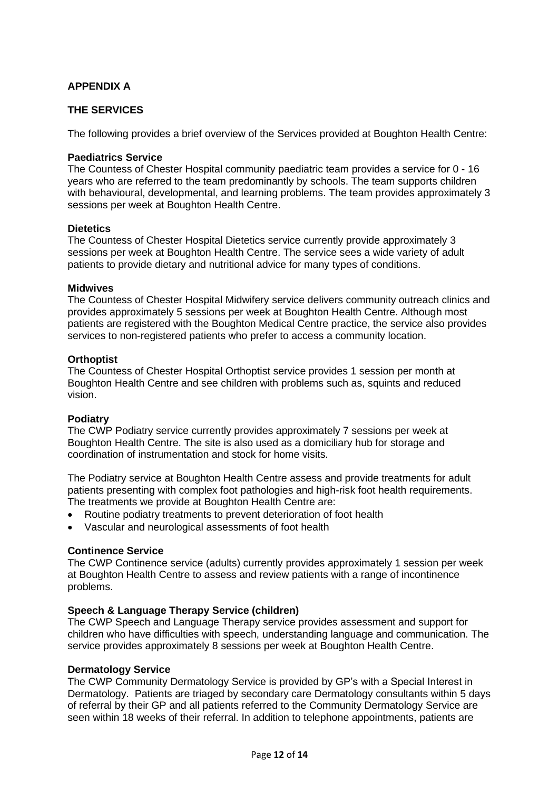# **APPENDIX A**

## **THE SERVICES**

The following provides a brief overview of the Services provided at Boughton Health Centre:

#### **Paediatrics Service**

The Countess of Chester Hospital community paediatric team provides a service for 0 - 16 years who are referred to the team predominantly by schools. The team supports children with behavioural, developmental, and learning problems. The team provides approximately 3 sessions per week at Boughton Health Centre.

#### **Dietetics**

The Countess of Chester Hospital Dietetics service currently provide approximately 3 sessions per week at Boughton Health Centre. The service sees a wide variety of adult patients to provide dietary and nutritional advice for many types of conditions.

#### **Midwives**

The Countess of Chester Hospital Midwifery service delivers community outreach clinics and provides approximately 5 sessions per week at Boughton Health Centre. Although most patients are registered with the Boughton Medical Centre practice, the service also provides services to non-registered patients who prefer to access a community location.

#### **Orthoptist**

The Countess of Chester Hospital Orthoptist service provides 1 session per month at Boughton Health Centre and see children with problems such as, squints and reduced vision.

#### **Podiatry**

The CWP Podiatry service currently provides approximately 7 sessions per week at Boughton Health Centre. The site is also used as a domiciliary hub for storage and coordination of instrumentation and stock for home visits.

The Podiatry service at Boughton Health Centre assess and provide treatments for adult patients presenting with complex foot pathologies and high-risk foot health requirements. The treatments we provide at Boughton Health Centre are:

- Routine podiatry treatments to prevent deterioration of foot health
- Vascular and neurological assessments of foot health

## **Continence Service**

The CWP Continence service (adults) currently provides approximately 1 session per week at Boughton Health Centre to assess and review patients with a range of incontinence problems.

## **Speech & Language Therapy Service (children)**

The CWP Speech and Language Therapy service provides assessment and support for children who have difficulties with speech, understanding language and communication. The service provides approximately 8 sessions per week at Boughton Health Centre.

#### **Dermatology Service**

The CWP Community Dermatology Service is provided by GP's with a Special Interest in Dermatology. Patients are triaged by secondary care Dermatology consultants within 5 days of referral by their GP and all patients referred to the Community Dermatology Service are seen within 18 weeks of their referral. In addition to telephone appointments, patients are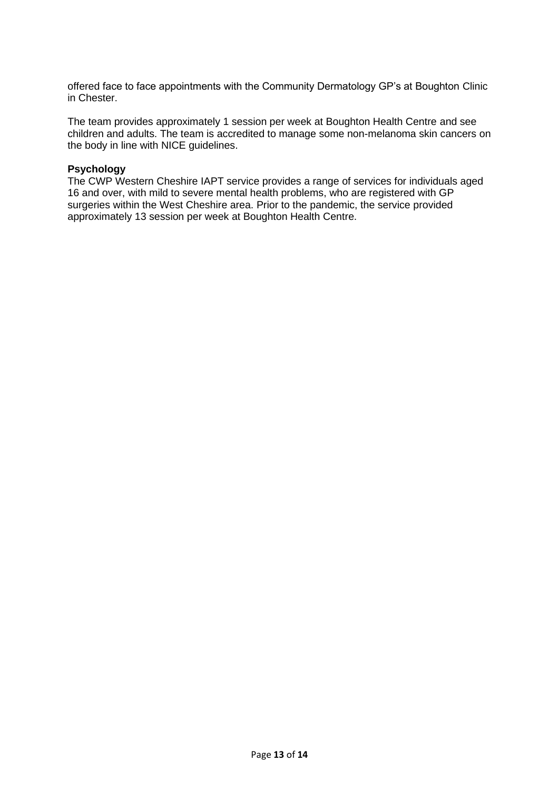offered face to face appointments with the Community Dermatology GP's at Boughton Clinic in Chester.

The team provides approximately 1 session per week at Boughton Health Centre and see children and adults. The team is accredited to manage some non-melanoma skin cancers on the body in line with NICE guidelines.

#### **Psychology**

The CWP Western Cheshire IAPT service provides a range of services for individuals aged 16 and over, with mild to severe mental health problems, who are registered with GP surgeries within the West Cheshire area. Prior to the pandemic, the service provided approximately 13 session per week at Boughton Health Centre.